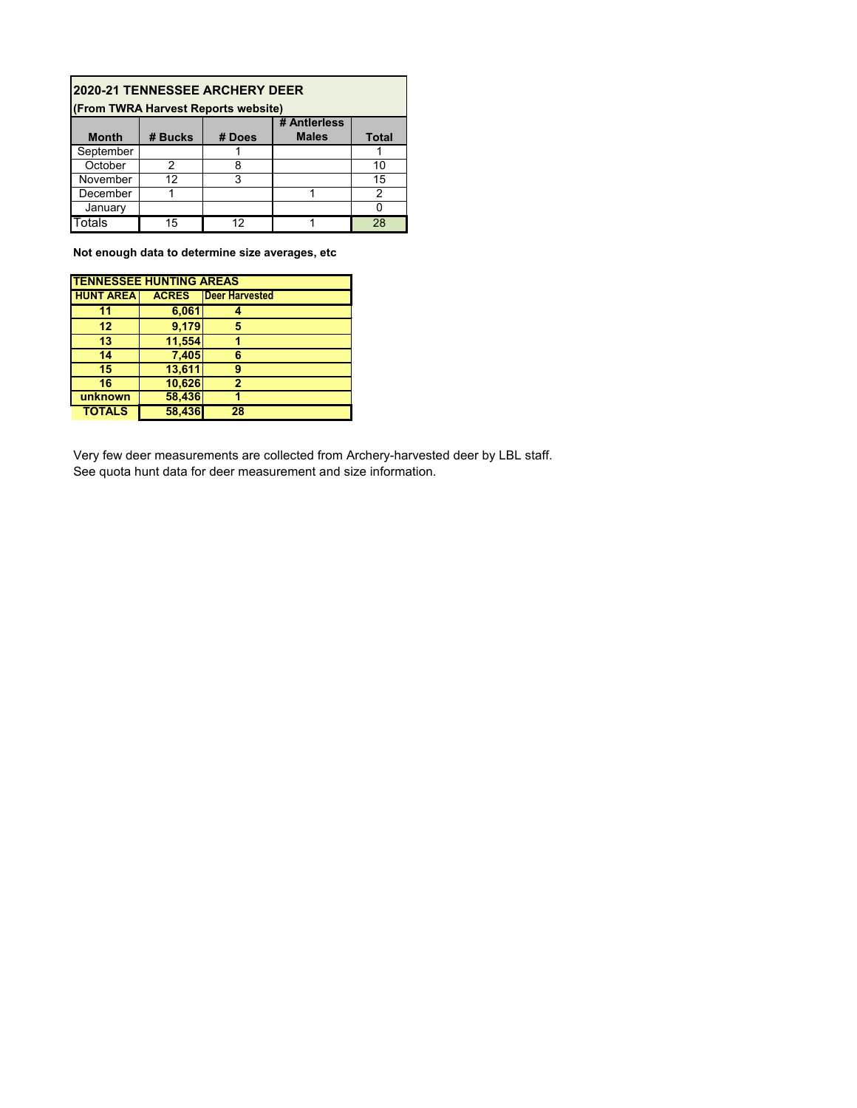| 2020-21 TENNESSEE ARCHERY DEER<br>(From TWRA Harvest Reports website) |         |        |              |       |  |  |
|-----------------------------------------------------------------------|---------|--------|--------------|-------|--|--|
|                                                                       |         |        | # Antierless |       |  |  |
| <b>Month</b>                                                          | # Bucks | # Does | <b>Males</b> | Total |  |  |
| September                                                             |         |        |              |       |  |  |
| October                                                               | 2       | ጸ      |              | 10    |  |  |
| November                                                              | 12      | 3      |              | 15    |  |  |
| December                                                              |         |        |              | 2     |  |  |
| January                                                               |         |        |              |       |  |  |
| Totals                                                                | 15      | 12     |              | 28    |  |  |

**Not enough data to determine size averages, etc**

| <b>TENNESSEE HUNTING AREAS</b> |              |                       |  |  |  |
|--------------------------------|--------------|-----------------------|--|--|--|
| <b>HUNT AREA</b>               | <b>ACRES</b> | <b>Deer Harvested</b> |  |  |  |
| 11                             | 6,061        |                       |  |  |  |
| 12                             | 9,179        | 5                     |  |  |  |
| 13                             | 11,554       |                       |  |  |  |
| 14                             | 7,405        | 6                     |  |  |  |
| 15                             | 13,611       | 9                     |  |  |  |
| 16                             | 10,626       | 2                     |  |  |  |
| unknown                        | 58,436       |                       |  |  |  |
| <b>TOTALS</b>                  | 58,436       | 28                    |  |  |  |

Very few deer measurements are collected from Archery-harvested deer by LBL staff. See quota hunt data for deer measurement and size information.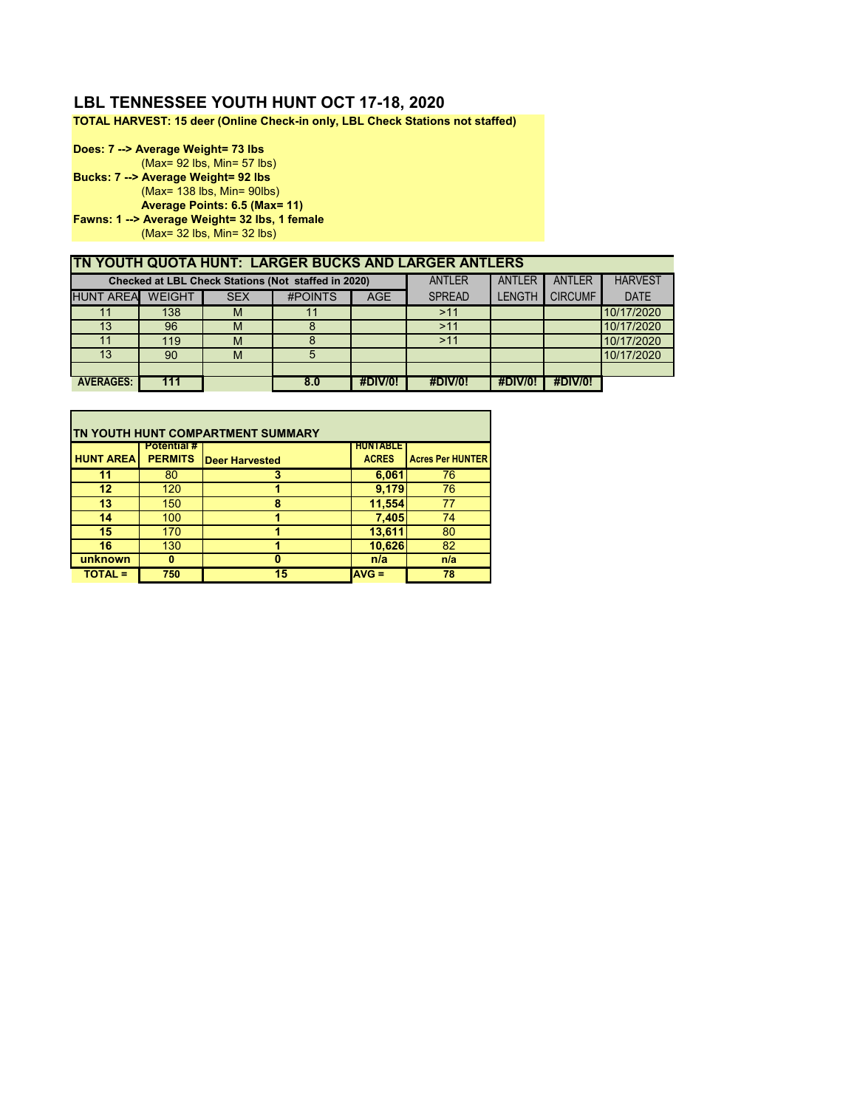# **LBL TENNESSEE YOUTH HUNT OCT 17-18, 2020**

**TOTAL HARVEST: 15 deer (Online Check-in only, LBL Check Stations not staffed)**

**Does: 7 --> Average Weight= 73 lbs** (Max= 92 lbs, Min= 57 lbs) **Bucks: 7 --> Average Weight= 92 lbs**

(Max= 138 lbs, Min= 90lbs) **Average Points: 6.5 (Max= 11)**

**Fawns: 1 --> Average Weight= 32 lbs, 1 female**

(Max= 32 lbs, Min= 32 lbs)

| <b>ITN YOUTH QUOTA HUNT: LARGER BUCKS AND LARGER ANTLERS</b> |               |            |                                                     |                |                |                |                |                |
|--------------------------------------------------------------|---------------|------------|-----------------------------------------------------|----------------|----------------|----------------|----------------|----------------|
|                                                              |               |            | Checked at LBL Check Stations (Not staffed in 2020) |                | <b>ANTLER</b>  | <b>ANTLER</b>  | <b>ANTLER</b>  | <b>HARVEST</b> |
| <b>HUNT AREA</b>                                             | <b>WEIGHT</b> | <b>SEX</b> | #POINTS                                             | AGE            | <b>SPREAD</b>  | <b>LENGTH</b>  | <b>CIRCUMF</b> | <b>DATE</b>    |
| 11                                                           | 138           | M          | 11                                                  |                | >11            |                |                | 10/17/2020     |
| 13                                                           | 96            | M          |                                                     |                | >11            |                |                | 10/17/2020     |
| 11                                                           | 119           | M          |                                                     |                | >11            |                |                | 10/17/2020     |
| 13                                                           | 90            | M          | 5                                                   |                |                |                |                | 10/17/2020     |
|                                                              |               |            |                                                     |                |                |                |                |                |
| <b>AVERAGES:</b>                                             | 111           |            | 8.0                                                 | <b>#DIV/0!</b> | <b>#DIV/0!</b> | <b>#DIV/0!</b> | <b>#DIV/0!</b> |                |

| <b>TN YOUTH HUNT COMPARTMENT SUMMARY</b> |                                      |                       |                                 |                         |  |  |
|------------------------------------------|--------------------------------------|-----------------------|---------------------------------|-------------------------|--|--|
| <b>HUNT AREA</b>                         | <b>Potential #</b><br><b>PERMITS</b> | <b>Deer Harvested</b> | <b>HUNTABLE</b><br><b>ACRES</b> | <b>Acres Per HUNTER</b> |  |  |
| 11                                       | 80                                   | 3                     | 6,061                           | 76                      |  |  |
| $12 \,$                                  | 120                                  |                       | 9,179                           | 76                      |  |  |
| 13                                       | 150                                  | 8                     | 11,554                          | 77                      |  |  |
| 14                                       | 100                                  |                       | 7,405                           | 74                      |  |  |
| 15                                       | 170                                  |                       | 13,611                          | 80                      |  |  |
| 16                                       | 130                                  |                       | 10,626                          | 82                      |  |  |
| unknown                                  | $\mathbf{0}$                         | Ω                     | n/a                             | n/a                     |  |  |
| <b>TOTAL =</b>                           | 750                                  | 15                    | $AVG =$                         | 78                      |  |  |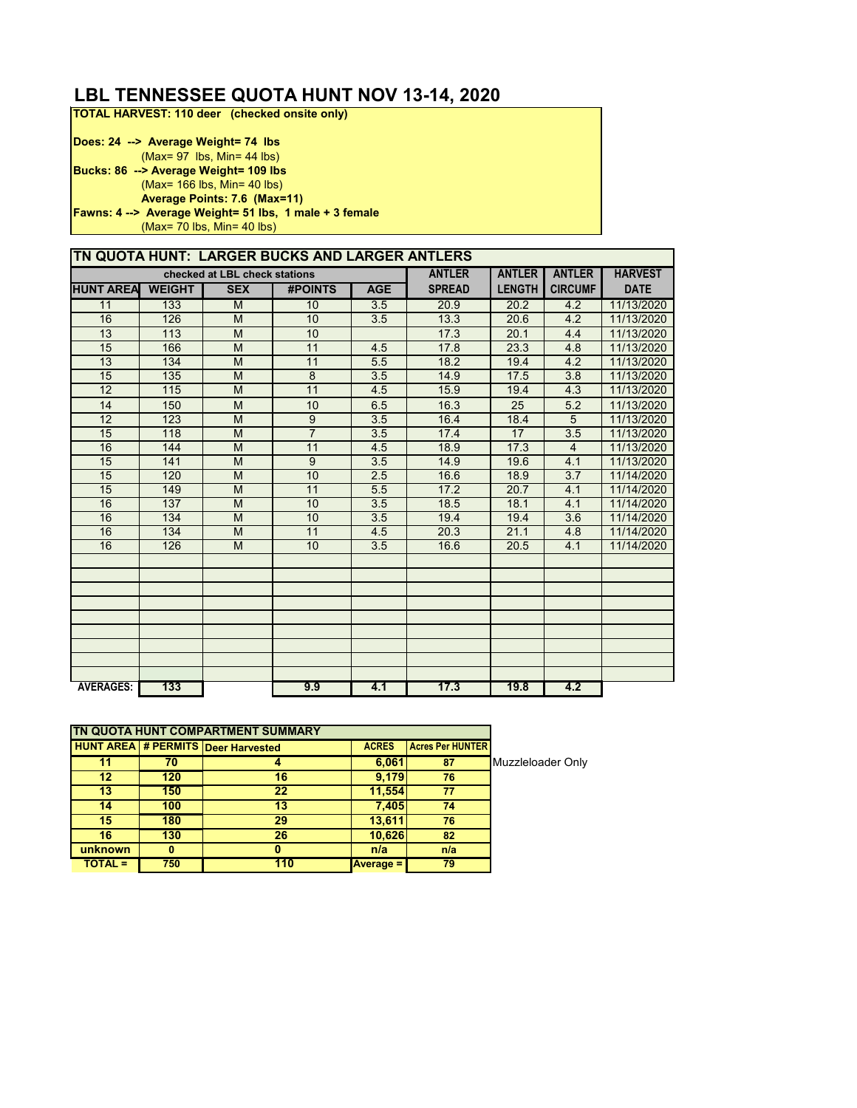# **LBL TENNESSEE QUOTA HUNT NOV 13-14, 2020**

**TOTAL HARVEST: 110 deer (checked onsite only)**

| Does: 24 --> Average Weight = 74 lbs                   |
|--------------------------------------------------------|
|                                                        |
| $(Max= 97$ lbs, Min= 44 lbs)                           |
| Bucks: 86 --> Average Weight= 109 lbs                  |
| $(Max = 166$ lbs, Min= 40 lbs)                         |
| Average Points: 7.6 (Max=11)                           |
| Fawns: 4 --> Average Weight= 51 lbs, 1 male + 3 female |
| (Max= 70 lbs, Min= 40 lbs)                             |

|                  | TN QUOTA HUNT: LARGER BUCKS AND LARGER ANTLERS |                               |                 |                  |               |               |                  |                |
|------------------|------------------------------------------------|-------------------------------|-----------------|------------------|---------------|---------------|------------------|----------------|
|                  |                                                | checked at LBL check stations |                 |                  | <b>ANTLER</b> | <b>ANTLER</b> | <b>ANTLER</b>    | <b>HARVEST</b> |
| <b>HUNT AREA</b> | <b>WEIGHT</b>                                  | <b>SEX</b>                    | <b>#POINTS</b>  | <b>AGE</b>       | <b>SPREAD</b> | <b>LENGTH</b> | <b>CIRCUMF</b>   | <b>DATE</b>    |
| 11               | 133                                            | M                             | 10              | 3.5              | 20.9          | 20.2          | 4.2              | 11/13/2020     |
| 16               | 126                                            | M                             | 10              | 3.5              | 13.3          | 20.6          | $\overline{4.2}$ | 11/13/2020     |
| $\overline{13}$  | 113                                            | M                             | 10              |                  | 17.3          | 20.1          | 4.4              | 11/13/2020     |
| $\overline{15}$  | 166                                            | M                             | $\overline{11}$ | 4.5              | 17.8          | 23.3          | 4.8              | 11/13/2020     |
| $\overline{13}$  | 134                                            | M                             | $\overline{11}$ | $\overline{5.5}$ | 18.2          | 19.4          | $\overline{4.2}$ | 11/13/2020     |
| $\overline{15}$  | 135                                            | M                             | $\overline{8}$  | 3.5              | 14.9          | 17.5          | 3.8              | 11/13/2020     |
| $\overline{12}$  | 115                                            | M                             | 11              | 4.5              | 15.9          | 19.4          | 4.3              | 11/13/2020     |
| 14               | 150                                            | M                             | 10              | 6.5              | 16.3          | 25            | 5.2              | 11/13/2020     |
| $\overline{12}$  | 123                                            | $\overline{M}$                | 9               | $\overline{3.5}$ | 16.4          | 18.4          | $\overline{5}$   | 11/13/2020     |
| $\overline{15}$  | $\overline{118}$                               | M                             | $\overline{7}$  | $\overline{3.5}$ | 17.4          | 17            | $\overline{3.5}$ | 11/13/2020     |
| 16               | 144                                            | M                             | 11              | 4.5              | 18.9          | 17.3          | $\overline{4}$   | 11/13/2020     |
| $\overline{15}$  | 141                                            | $\overline{M}$                | $\overline{9}$  | 3.5              | 14.9          | 19.6          | 4.1              | 11/13/2020     |
| $\overline{15}$  | 120                                            | M                             | 10              | 2.5              | 16.6          | 18.9          | 3.7              | 11/14/2020     |
| $\overline{15}$  | 149                                            | M                             | $\overline{11}$ | 5.5              | 17.2          | 20.7          | 4.1              | 11/14/2020     |
| 16               | 137                                            | $\overline{M}$                | 10              | 3.5              | 18.5          | 18.1          | 4.1              | 11/14/2020     |
| 16               | 134                                            | M                             | 10              | 3.5              | 19.4          | 19.4          | 3.6              | 11/14/2020     |
| 16               | 134                                            | $\overline{M}$                | 11              | 4.5              | 20.3          | 21.1          | 4.8              | 11/14/2020     |
| 16               | 126                                            | M                             | 10              | $\overline{3.5}$ | 16.6          | 20.5          | 4.1              | 11/14/2020     |
|                  |                                                |                               |                 |                  |               |               |                  |                |
|                  |                                                |                               |                 |                  |               |               |                  |                |
|                  |                                                |                               |                 |                  |               |               |                  |                |
|                  |                                                |                               |                 |                  |               |               |                  |                |
|                  |                                                |                               |                 |                  |               |               |                  |                |
|                  |                                                |                               |                 |                  |               |               |                  |                |
| <b>AVERAGES:</b> | 133                                            |                               | 9.9             | 4.1              | 17.3          | 19.8          | 4.2              |                |

| <b>TN QUOTA HUNT COMPARTMENT SUMMARY</b> |     |                                           |                  |                         |                   |
|------------------------------------------|-----|-------------------------------------------|------------------|-------------------------|-------------------|
|                                          |     | <b>HUNT AREA # PERMITS Deer Harvested</b> | <b>ACRES</b>     | <b>Acres Per HUNTER</b> |                   |
|                                          | 70  |                                           | 6,061            | 87                      | Muzzleloader Only |
| 12                                       | 120 | 16                                        | 9,179            | 76                      |                   |
| 13                                       | 150 | 22                                        | 11,554           | 77                      |                   |
| 14                                       | 100 | 13                                        | 7,405            | 74                      |                   |
| 15                                       | 180 | 29                                        | 13,611           | 76                      |                   |
| 16                                       | 130 | 26                                        | 10,626           | 82                      |                   |
| unknown                                  | 0   | 0                                         | n/a              | n/a                     |                   |
| <b>TOTAL =</b>                           | 750 | 110                                       | <b>Average =</b> | 79                      |                   |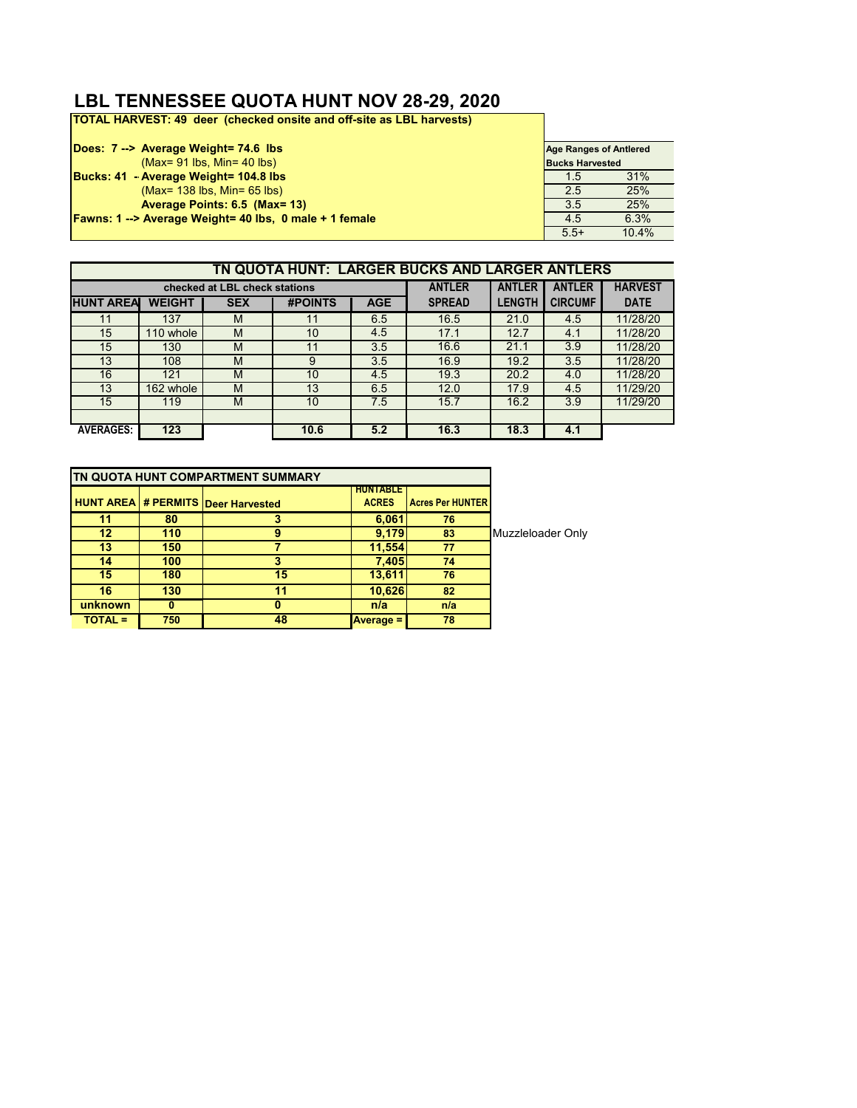## **LBL TENNESSEE QUOTA HUNT NOV 28-29, 2020**

**TOTAL HARVEST: 49 deer (checked onsite and off-site as LBL harvests)**

| Does: 7 --> Average Weight = 74.6 lbs<br>$(Max = 91$ lbs, Min= 40 lbs) | <b>Age Ranges of Antlered</b><br><b>Bucks Harvested</b> |       |
|------------------------------------------------------------------------|---------------------------------------------------------|-------|
| Bucks: 41 - Average Weight = 104.8 lbs                                 | $1.5^{\circ}$                                           | 31%   |
| $(Max = 138$ lbs, Min= 65 lbs)                                         | 2.5                                                     | 25%   |
| Average Points: 6.5 (Max= 13)                                          | 3.5                                                     | 25%   |
| <b>Fawns: 1 --&gt; Average Weight = 40 lbs, 0 male + 1 female</b>      | 4.5                                                     | 6.3%  |
|                                                                        | $5.5+$                                                  | 10.4% |

|                  | TN QUOTA HUNT: LARGER BUCKS AND LARGER ANTLERS |                               |                 |            |               |               |                |                |  |
|------------------|------------------------------------------------|-------------------------------|-----------------|------------|---------------|---------------|----------------|----------------|--|
|                  |                                                |                               |                 |            |               |               |                |                |  |
|                  |                                                | checked at LBL check stations |                 |            | <b>ANTLER</b> | <b>ANTLER</b> | <b>ANTLER</b>  | <b>HARVEST</b> |  |
| <b>HUNT AREA</b> | <b>WEIGHT</b>                                  | <b>SEX</b>                    | <b>#POINTS</b>  | <b>AGE</b> | <b>SPREAD</b> | <b>LENGTH</b> | <b>CIRCUMF</b> | <b>DATE</b>    |  |
| 11               | 137                                            | M                             | 11              | 6.5        | 16.5          | 21.0          | 4.5            | 11/28/20       |  |
| 15 <sup>°</sup>  | 110 whole                                      | M                             | 10 <sup>°</sup> | 4.5        | 17.1          | 12.7          | 4.1            | 11/28/20       |  |
| 15 <sup>°</sup>  | 130                                            | M                             | 11              | 3.5        | 16.6          | 21.1          | 3.9            | 11/28/20       |  |
| 13               | 108                                            | M                             | 9               | 3.5        | 16.9          | 19.2          | 3.5            | 11/28/20       |  |
| 16               | 121                                            | M                             | 10              | 4.5        | 19.3          | 20.2          | 4.0            | 11/28/20       |  |
| 13               | 162 whole                                      | м                             | 13              | 6.5        | 12.0          | 17.9          | 4.5            | 11/29/20       |  |
| 15               | 119                                            | M                             | 10              | 7.5        | 15.7          | 16.2          | 3.9            | 11/29/20       |  |
|                  |                                                |                               |                 |            |               |               |                |                |  |
| <b>AVERAGES:</b> | 123                                            |                               | 10.6            | 5.2        | 16.3          | 18.3          | 4.1            |                |  |

| TN QUOTA HUNT COMPARTMENT SUMMARY |                |     |                                           |                  |                         |  |
|-----------------------------------|----------------|-----|-------------------------------------------|------------------|-------------------------|--|
|                                   |                |     |                                           | <b>HUNTABLE</b>  |                         |  |
|                                   |                |     | <b>HUNT AREA # PERMITS Deer Harvested</b> | <b>ACRES</b>     | <b>Acres Per HUNTER</b> |  |
|                                   | 11             | 80  |                                           | 6,061            | 76                      |  |
|                                   | $12 \,$        | 110 | 9                                         | 9,179            | Muzzleloader Only<br>83 |  |
|                                   | 13             | 150 |                                           | 11,554           | 77                      |  |
|                                   | 14             | 100 | 3                                         | 7,405            | 74                      |  |
|                                   | 15             | 180 | 15                                        | 13,611           | 76                      |  |
|                                   | 16             | 130 | 11                                        | 10,626           | 82                      |  |
|                                   | unknown        | 0   | o                                         | n/a              | n/a                     |  |
|                                   | <b>TOTAL =</b> | 750 | 48                                        | <b>Average =</b> | 78                      |  |
|                                   |                |     |                                           |                  |                         |  |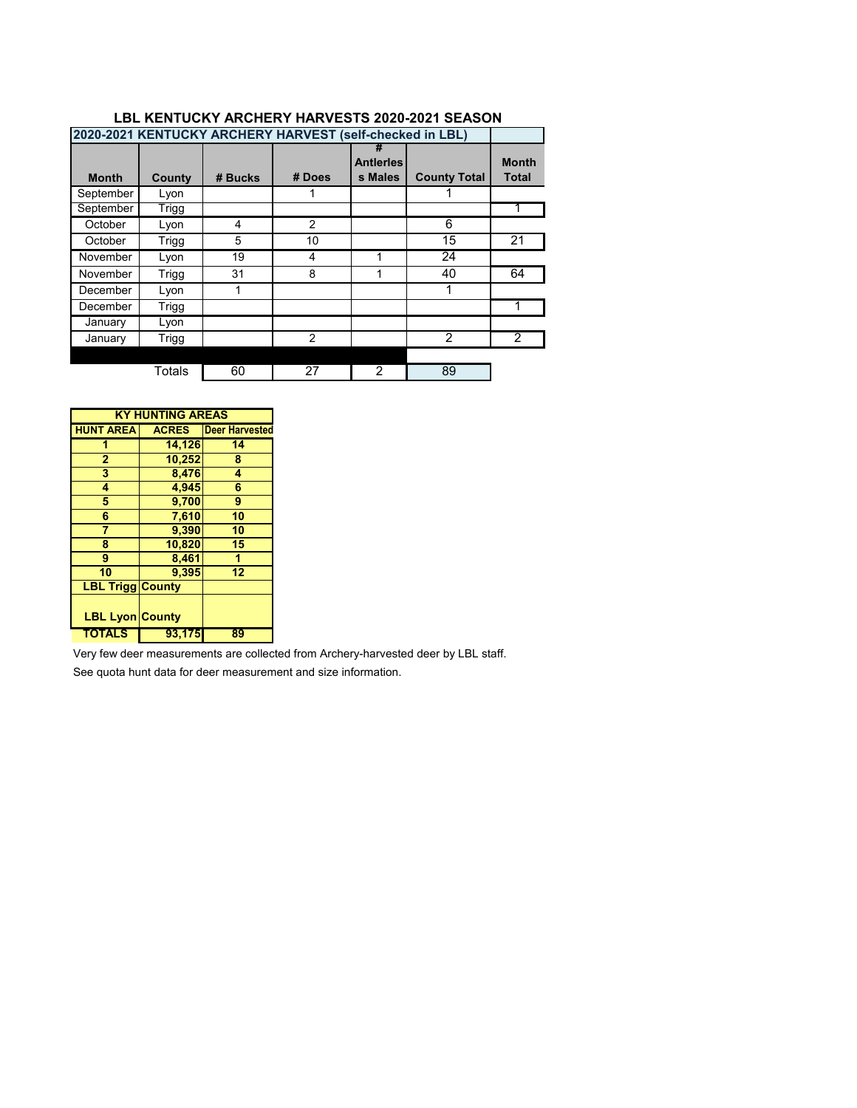| 2020-2021 KENTUCKY ARCHERY HARVEST (self-checked in LBL) |               |         |                |                                  |                     |                              |  |
|----------------------------------------------------------|---------------|---------|----------------|----------------------------------|---------------------|------------------------------|--|
| <b>Month</b>                                             | County        | # Bucks | # Does         | #<br><b>Antieries</b><br>s Males | <b>County Total</b> | <b>Month</b><br><b>Total</b> |  |
| September                                                | Lyon          |         |                |                                  |                     |                              |  |
| September                                                | Trigg         |         |                |                                  |                     |                              |  |
| October                                                  | Lyon          | 4       | $\overline{2}$ |                                  | 6                   |                              |  |
| October                                                  | <b>Trigg</b>  | 5       | 10             |                                  | 15                  | 21                           |  |
| November                                                 | Lyon          | 19      | 4              | 1                                | $\overline{24}$     |                              |  |
| November                                                 | <b>Trigg</b>  | 31      | 8              | 1                                | 40                  | 64                           |  |
| December                                                 | Lyon          | 1       |                |                                  | 1                   |                              |  |
| December                                                 | <b>Trigg</b>  |         |                |                                  |                     | 1                            |  |
| January                                                  | Lyon          |         |                |                                  |                     |                              |  |
| January                                                  | <b>Trigg</b>  |         | $\overline{2}$ |                                  | $\overline{2}$      | 2                            |  |
|                                                          |               |         |                |                                  |                     |                              |  |
|                                                          | <b>Totals</b> | 60      | 27             | 2                                | 89                  |                              |  |

#### **LBL KENTUCKY ARCHERY HARVESTS 2020-2021 SEASON**

| <b>KY HUNTING AREAS</b> |        |                             |  |  |  |  |  |
|-------------------------|--------|-----------------------------|--|--|--|--|--|
| <b>HUNT AREA</b>        |        | <b>ACRES</b> Deer Harvested |  |  |  |  |  |
| 1                       | 14,126 | 14                          |  |  |  |  |  |
| $\overline{2}$          | 10,252 | 8                           |  |  |  |  |  |
| 3                       | 8,476  | 4                           |  |  |  |  |  |
| 4                       | 4,945  | 6                           |  |  |  |  |  |
| 5                       | 9,700  | 9                           |  |  |  |  |  |
| 6                       | 7,610  | 10                          |  |  |  |  |  |
| 7                       | 9,390  | 10                          |  |  |  |  |  |
| 8                       | 10,820 | 15                          |  |  |  |  |  |
| 9                       | 8,461  |                             |  |  |  |  |  |
| 10                      | 9,395  | 12                          |  |  |  |  |  |
| <b>LBL Trigg County</b> |        |                             |  |  |  |  |  |
|                         |        |                             |  |  |  |  |  |
| <b>LBL Lyon County</b>  |        |                             |  |  |  |  |  |
| <b>TOTALS</b>           | 93,175 | 89                          |  |  |  |  |  |

Very few deer measurements are collected from Archery-harvested deer by LBL staff.

See quota hunt data for deer measurement and size information.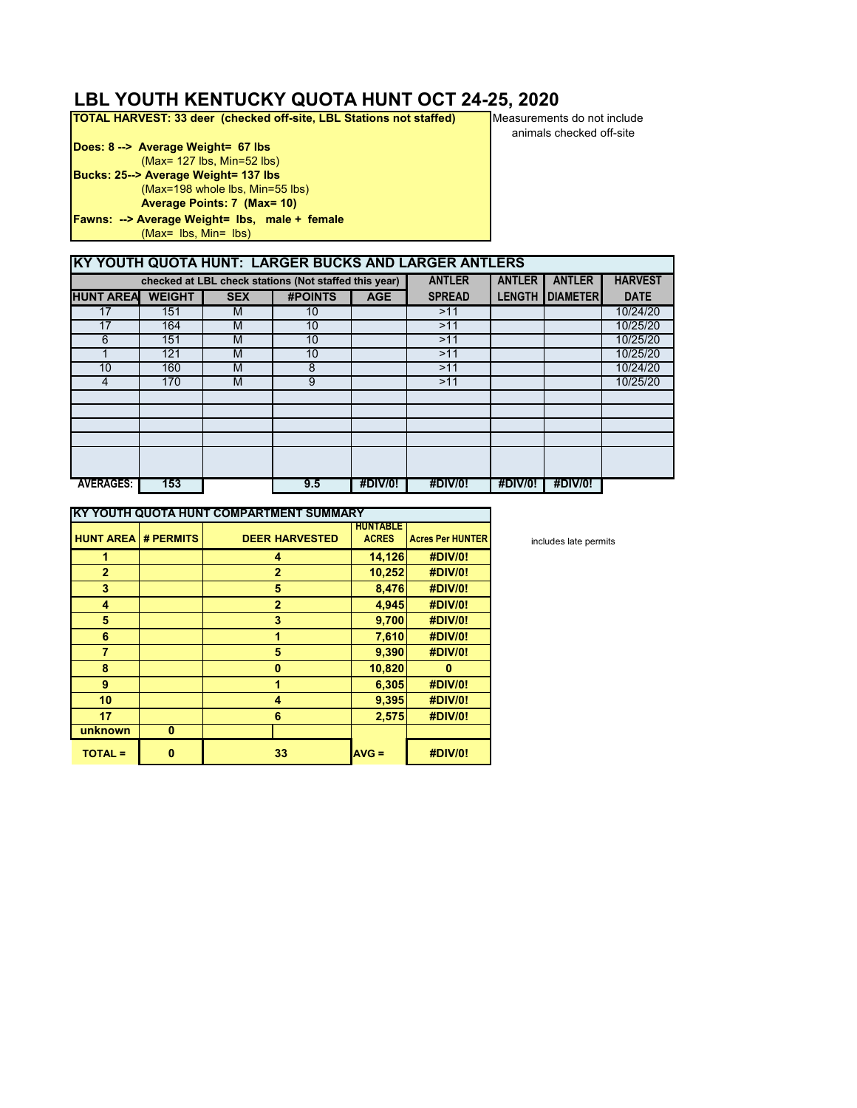# **LBL YOUTH KENTUCKY QUOTA HUNT OCT 24-25, 2020**<br>TOTAL HARVEST: 33 deer (checked off-site, LBL Stations not staffed) Measurements do not include

**TOTAL HARVEST: 33 deer (checked off-site, LBL Stations not staffed)** 

**Does: 8 --> Average Weight= 67 lbs** (Max= 127 lbs, Min=52 lbs) **Bucks: 25--> Average Weight= 137 lbs** (Max=198 whole lbs, Min=55 lbs) **Average Points: 7 (Max= 10) Fawns: --> Average Weight= lbs, male + female** (Max= lbs, Min= lbs)

animals checked off-site

| KY YOUTH QUOTA HUNT: LARGER BUCKS AND LARGER ANTLERS |               |            |                                                       |            |               |               |                          |                |
|------------------------------------------------------|---------------|------------|-------------------------------------------------------|------------|---------------|---------------|--------------------------|----------------|
|                                                      |               |            | checked at LBL check stations (Not staffed this year) |            | <b>ANTLER</b> | <b>ANTLER</b> | <b>ANTLER</b>            | <b>HARVEST</b> |
| <b>HUNT AREA</b>                                     | <b>WEIGHT</b> | <b>SEX</b> | <b>#POINTS</b>                                        | <b>AGE</b> | <b>SPREAD</b> |               | <b>LENGTH   DIAMETER</b> | <b>DATE</b>    |
| 17                                                   | 151           | M          | 10                                                    |            | >11           |               |                          | 10/24/20       |
| 17                                                   | 164           | M          | 10 <sup>°</sup>                                       |            | >11           |               |                          | 10/25/20       |
| 6                                                    | 151           | M          | 10                                                    |            | >11           |               |                          | 10/25/20       |
|                                                      | 121           | M          | 10 <sup>°</sup>                                       |            | >11           |               |                          | 10/25/20       |
| 10                                                   | 160           | M          | 8                                                     |            | >11           |               |                          | 10/24/20       |
| 4                                                    | 170           | M          | 9                                                     |            | >11           |               |                          | 10/25/20       |
|                                                      |               |            |                                                       |            |               |               |                          |                |
|                                                      |               |            |                                                       |            |               |               |                          |                |
|                                                      |               |            |                                                       |            |               |               |                          |                |
|                                                      |               |            |                                                       |            |               |               |                          |                |
|                                                      |               |            |                                                       |            |               |               |                          |                |
|                                                      |               |            |                                                       |            |               |               |                          |                |
| <b>AVERAGES:</b>                                     | 153           |            | 9.5                                                   | #DIV/0!    | #DIV/0!       | #DIV/0!       | #DIV/0!                  |                |

|                  |           | KY YOUTH QUOTA HUNT COMPARTMENT SUMMARY |                   |                         |
|------------------|-----------|-----------------------------------------|-------------------|-------------------------|
|                  |           |                                         | <b>HUN I ABLE</b> |                         |
| <b>HUNT AREA</b> | # PERMITS | <b>DEER HARVESTED</b>                   | <b>ACRES</b>      | <b>Acres Per HUNTER</b> |
| 1                |           | 4                                       | 14,126            | #DIV/0!                 |
| $\overline{2}$   |           | $\mathbf{2}$                            | 10,252            | #DIV/0!                 |
| 3                |           | 5                                       | 8,476             | #DIV/0!                 |
| 4                |           | $\mathbf{2}$                            | 4,945             | #DIV/0!                 |
| 5                |           | 3                                       | 9,700             | #DIV/0!                 |
| 6                |           | 1                                       | 7,610             | #DIV/0!                 |
| $\overline{7}$   |           | 5                                       | 9,390             | #DIV/0!                 |
| 8                |           | $\bf{0}$                                | 10,820            | 0                       |
| 9                |           | 1                                       | 6,305             | #DIV/0!                 |
| 10               |           | $\overline{\mathbf{4}}$                 | 9,395             | #DIV/0!                 |
| 17               |           | 6                                       | 2,575             | #DIV/0!                 |
| unknown          | $\bf{0}$  |                                         |                   |                         |
| <b>TOTAL =</b>   | 0         | 33                                      | $AVG =$           | #DIV/0!                 |

includes late permits